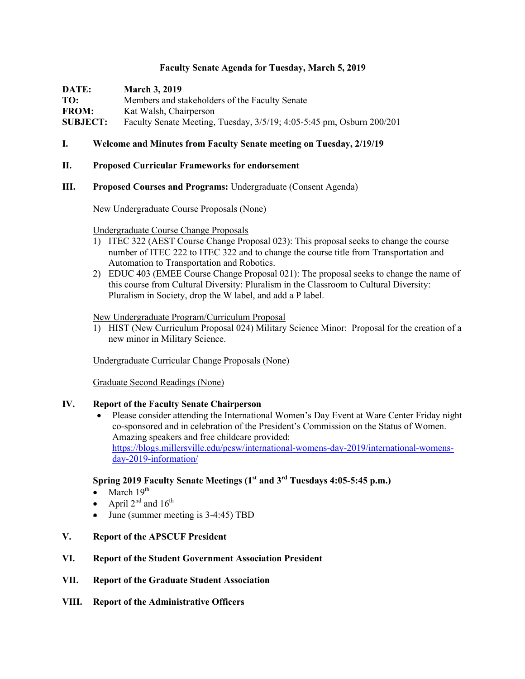### **Faculty Senate Agenda for Tuesday, March 5, 2019**

**DATE: March 3, 2019**

**TO:** Members and stakeholders of the Faculty Senate **FROM:** Kat Walsh, Chairperson **SUBJECT:** Faculty Senate Meeting, Tuesday, 3/5/19; 4:05-5:45 pm, Osburn 200/201

### **I. Welcome and Minutes from Faculty Senate meeting on Tuesday, 2/19/19**

### **II. Proposed Curricular Frameworks for endorsement**

### **III. Proposed Courses and Programs:** Undergraduate (Consent Agenda)

### New Undergraduate Course Proposals (None)

### Undergraduate Course Change Proposals

- 1) ITEC 322 (AEST Course Change Proposal 023): This proposal seeks to change the course number of ITEC 222 to ITEC 322 and to change the course title from Transportation and Automation to Transportation and Robotics.
- 2) EDUC 403 (EMEE Course Change Proposal 021): The proposal seeks to change the name of this course from Cultural Diversity: Pluralism in the Classroom to Cultural Diversity: Pluralism in Society, drop the W label, and add a P label.

#### New Undergraduate Program/Curriculum Proposal

1) HIST (New Curriculum Proposal 024) Military Science Minor: Proposal for the creation of a new minor in Military Science.

Undergraduate Curricular Change Proposals (None)

Graduate Second Readings (None)

### **IV. Report of the Faculty Senate Chairperson**

• Please consider attending the International Women's Day Event at Ware Center Friday night co-sponsored and in celebration of the President's Commission on the Status of Women. Amazing speakers and free childcare provided: https://blogs.millersville.edu/pcsw/international-womens-day-2019/international-womensday-2019-information/

# **Spring 2019 Faculty Senate Meetings (1st and 3rd Tuesdays 4:05-5:45 p.m.)**

- March  $19<sup>th</sup>$
- April  $2^{nd}$  and  $16^{th}$
- June (summer meeting is 3-4:45) TBD
- **V. Report of the APSCUF President**

### **VI. Report of the Student Government Association President**

- **VII. Report of the Graduate Student Association**
- **VIII. Report of the Administrative Officers**